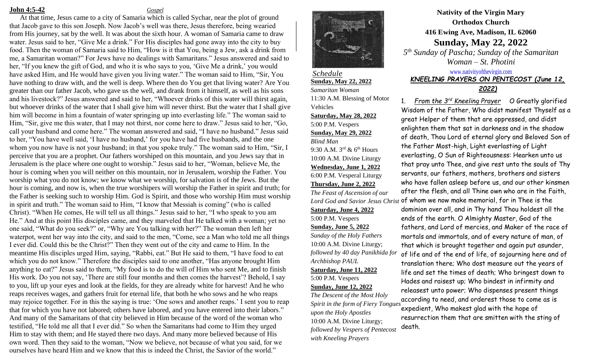### **John 4:5-42** *Gospel*

At that time, Jesus came to a city of Samaria which is called Sychar, near the plot of ground that Jacob gave to this son Joseph. Now Jacob's well was there, Jesus therefore, being wearied from His journey, sat by the well. It was about the sixth hour. A woman of Samaria came to draw water. Jesus said to her, "Give Me a drink." For His disciples had gone away into the city to buy food. Then the woman of Samaria said to Him, "How is it that You, being a Jew, ask a drink from me, a Samaritan woman?" For Jews have no dealings with Samaritans." Jesus answered and said to her, "If you knew the gift of God, and who it is who says to you, 'Give Me a drink,' you would have asked Him, and He would have given you living water." The woman said to Him, "Sir, You have nothing to draw with, and the well is deep. Where then do You get that living water? Are You greater than our father Jacob, who gave us the well, and drank from it himself, as well as his sons and his livestock?" Jesus answered and said to her, "Whoever drinks of this water will thirst again, but whoever drinks of the water that I shall give him will never thirst. But the water that I shall give him will become in him a fountain of water springing up into everlasting life." The woman said to Him, "Sir, give me this water, that I may not thirst, nor come here to draw." Jesus said to her, "Go, call your husband and come here." The woman answered and said, "I have no husband." Jesus said to her, "You have well said, 'I have no husband,' for you have had five husbands, and the one whom you now have is not your husband; in that you spoke truly." The woman said to Him, "Sir, I perceive that you are a prophet. Our fathers worshiped on this mountain, and you Jews say that in Jerusalem is the place where one ought to worship." Jesus said to her, "Woman, believe Me, the hour is coming when you will neither on this mountain, nor in Jerusalem, worship the Father. You worship what you do not know; we know what we worship, for salvation is of the Jews. But the hour is coming, and now is, when the true worshipers will worship the Father in spirit and truth; for the Father is seeking such to worship Him. God is Spirit, and those who worship Him must worship in spirit and truth." The woman said to Him, "I know that Messiah is coming" (who is called Christ). "When He comes, He will tell us all things." Jesus said to her, "I who speak to you am He." And at this point His disciples came, and they marveled that He talked with a woman; yet no one said, "What do you seek?" or, "Why are You talking with her?" The woman then left her waterpot, went her way into the city, and said to the men, "Come, see a Man who told me all things I ever did. Could this be the Christ?" Then they went out of the city and came to Him. In the meantime His disciples urged Him, saying, "Rabbi, eat." But He said to them, "I have food to eat which you do not know." Therefore the disciples said to one another, "Has anyone brought Him anything to eat?" Jesus said to them, "My food is to do the will of Him who sent Me, and to finish His work. Do you not say, 'There are still four months and then comes the harvest'? Behold, I say to you, lift up your eyes and look at the fields, for they are already white for harvest! And he who reaps receives wages, and gathers fruit for eternal life, that both he who sows and he who reaps may rejoice together. For in this the saying is true: 'One sows and another reaps.' I sent you to reap that for which you have not labored; others have labored, and you have entered into their labors." And many of the Samaritans of that city believed in Him because of the word of the woman who testified, "He told me all that I ever did." So when the Samaritans had come to Him they urged Him to stay with them; and He stayed there two days. And many more believed because of His own word. Then they said to the woman, "Now we believe, not because of what you said, for we ourselves have heard Him and we know that this is indeed the Christ, the Savior of the world."



*Schedule* **Sunday, May 22, 2022** *Samaritan Woman* 11:30 A.M. Blessing of Motor Vehicles **Saturday, May 28, 2022** 5:00 P.M. Vespers **Sunday, May 29, 2022** *Blind Man* 9:30 A.M.  $3^{\text{rd}}$  & 6<sup>th</sup> Hours 10:00 A.M. Divine Liturgy **Wednesday, June 1, 2022** 6:00 P.M. Vesperal Liturgy **Thursday, June 2, 2022** *The Feast of Ascension of our*  **Saturday, June 4, 2022** 5:00 P.M. Vespers **Sunday, June 5, 2022** *Sunday of the Holy Fathers* 10:00 A.M. Divine Liturgy; *followed by 40 day Panikhida for Archbishop PAUL* **Saturday, June 11, 2022**

# 5:00 P.M. Vespers **Sunday, June 12, 2022**

*The Descent of the Most Holy Spirit in the form of Fiery Tongues upon the Holy Apostles* 10:00 A.M. Divine Liturgy; *followed by Vespers of Pentecost with Kneeling Prayers*

# **Nativity of the Virgin Mary Orthodox Church 416 Ewing Ave, Madison, IL 62060 Sunday, May 22, 2022**

*5 th Sunday of Pascha; Sunday of the Samaritan Woman – St. Photini*

# [www.nativityofthevirgin.com](http://www.nativityofthevirgin.com/) *KNEELING PRAYERS ON PENTECOST (June 12, 2022)*

*Lord God and Savior Jesus Christ* of whom we now make memorial, for in Thee is the 1. *From the 3 rd Kneeling Prayer* O Greatly glorified Wisdom of the Father, Who didst manifest Thyself as a great Helper of them that are oppressed, and didst enlighten them that sat in darkness and in the shadow of death, Thou Lord of eternal glory and Beloved Son of the Father Most-high, Light everlasting of Light everlasting, O Sun of Righteousness: Hearken unto us that pray unto Thee, and give rest unto the souls of Thy servants, our fathers, mothers, brothers and sisters who have fallen asleep before us, and our other kinsmen after the flesh, and all Thine own who are in the Faith,

dominion over all, and in Thy hand Thou holdest all the ends of the earth. O Almighty Master, God of the fathers, and Lord of mercies, and Maker of the race of mortals and immortals, and of every nature of man, of that which is brought together and again put asunder, of life and of the end of life, of sojourning here and of translation there; Who dost measure out the years of life and set the times of death; Who bringest down to Hades and raisest up; Who bindest in infirmity and releasest unto power; Who dispenses present things according to need, and orderest those to come as is

expedient, Who makest glad with the hope of resurrection them that are smitten with the sting of death.